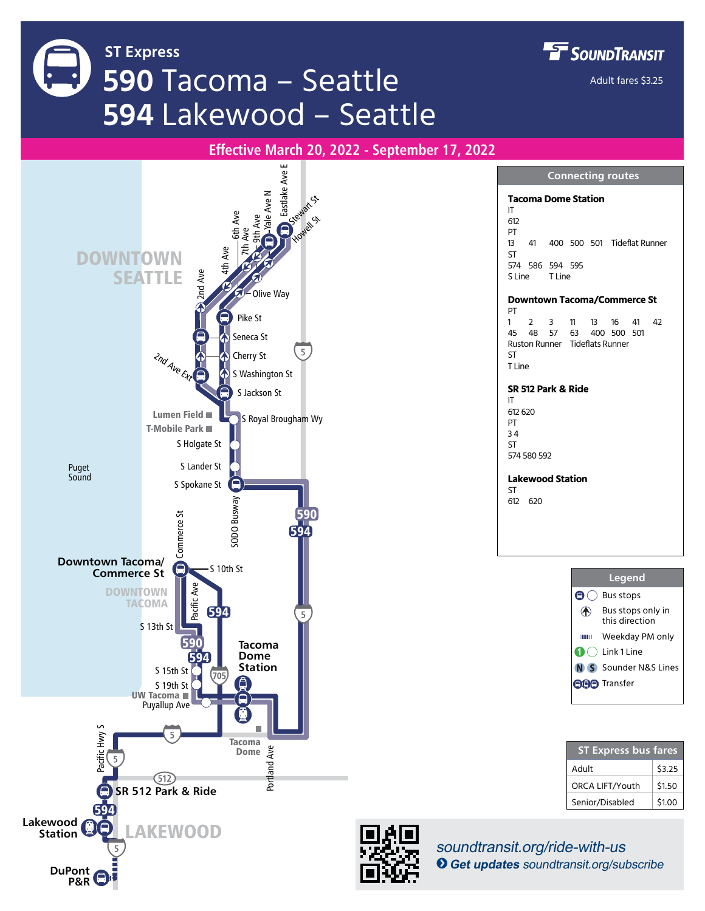**ST Express 590** Tacoma – Seattle **594** Lakewood – Seattle **FF** SOUNDTRANSIT

Adult fares \$3.25

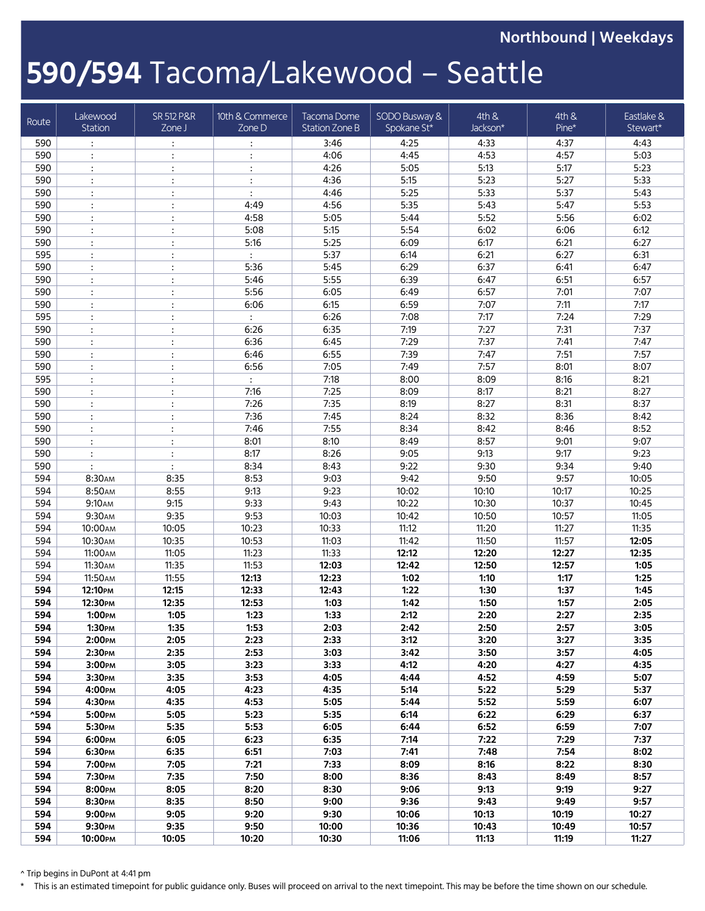**Northbound | Weekdays**

## **590/594** Tacoma/Lakewood – Seattle

| Route          | Lakewood<br>Station           | <b>SR 512 P&amp;R</b><br>ZoneJ | 10th & Commerce<br>Zone D | Tacoma Dome<br><b>Station Zone B</b> | SODO Busway &<br>Spokane St* | 4th &<br>Jackson* | 4th &<br>Pine* | Eastlake &<br>Stewart* |
|----------------|-------------------------------|--------------------------------|---------------------------|--------------------------------------|------------------------------|-------------------|----------------|------------------------|
| 590            | $\ddot{\cdot}$                | $\ddot{\cdot}$                 | $\ddot{\phantom{a}}$      | 3:46                                 | 4:25                         | 4:33              | 4:37           | 4:43                   |
| 590            |                               | $\ddot{\cdot}$                 | $\ddot{\cdot}$            | 4:06                                 | 4:45                         | 4:53              | 4:57           | 5:03                   |
| 590            |                               | $\ddot{\cdot}$                 | $\vdots$                  | 4:26                                 | 5:05                         | 5:13              | 5:17           | 5:23                   |
| 590            | $\cdot$                       | $\ddot{\cdot}$                 | $\ddot{\cdot}$            | 4:36                                 | 5:15                         | 5:23              | 5:27           | 5:33                   |
| 590            |                               | $\ddot{\phantom{a}}$           | $\ddot{\cdot}$            | 4:46                                 | 5:25                         | 5:33              | 5:37           | 5:43                   |
| 590            | $\ddot{\cdot}$                | $\ddot{\phantom{a}}$           | 4:49                      | 4:56                                 | 5:35                         | 5:43              | 5:47           | 5:53                   |
| 590            | $\ddot{\phantom{a}}$          | $\ddot{\phantom{a}}$           | 4:58                      | 5:05                                 | 5:44                         | 5:52              | 5:56           | 6:02                   |
| 590            |                               | $\ddot{\cdot}$                 | 5:08                      | 5:15                                 | 5:54                         | 6:02              | 6:06           | 6:12                   |
| 590            | $\ddot{\cdot}$                | $\ddot{\phantom{a}}$           | 5:16                      | 5:25                                 | 6:09                         | 6:17              | 6:21           | 6:27                   |
| 595            |                               | $\ddot{\phantom{a}}$           | $\ddot{\cdot}$            | 5:37                                 | 6:14                         | 6:21              | 6:27           | 6:31                   |
| 590            | $\ddot{\cdot}$                | $\ddot{\phantom{a}}$           | 5:36                      | 5:45                                 | 6:29                         | 6:37              | 6:41           | 6:47                   |
| 590            |                               | $\ddot{\phantom{a}}$           | 5:46                      | 5:55                                 | 6:39                         | 6:47              | 6:51           | 6:57                   |
| 590            |                               | $\ddot{\cdot}$                 | 5:56                      | 6:05                                 | 6:49                         | 6:57              | 7:01           | 7:07                   |
| 590            | $\ddot{\cdot}$                | $\ddot{\cdot}$                 | 6:06                      | 6:15                                 | 6:59                         | 7:07              | 7:11           | 7:17                   |
| 595            | $\ddot{\cdot}$                | $\ddot{\cdot}$                 | $\ddot{\cdot}$            | 6:26                                 | 7:08                         | 7:17              | 7:24           | 7:29                   |
| 590            | $\ddot{\cdot}$                | $\ddot{\cdot}$                 | 6:26                      | 6:35                                 | 7:19                         | 7:27              | 7:31           | 7:37                   |
| 590            | $\ddot{\cdot}$                | $\ddot{\phantom{a}}$           | 6:36                      | 6:45                                 | 7:29                         | 7:37              | 7:41           | 7:47                   |
| 590            |                               | $\ddot{\cdot}$                 | 6:46                      | 6:55                                 | 7:39                         | 7:47              | 7:51           | 7:57                   |
| 590<br>595     | $\ddot{\cdot}$                | $\ddot{\cdot}$                 | 6:56                      | 7:05<br>7:18                         | 7:49<br>8:00                 | 7:57<br>8:09      | 8:01<br>8:16   | 8:07<br>8:21           |
|                | $\ddot{\cdot}$                | $\ddot{\cdot}$                 | $\ddot{\cdot}$            |                                      |                              |                   |                |                        |
| 590<br>590     | $\ddot{\cdot}$                | $\ddot{\cdot}$                 | 7:16<br>7:26              | 7:25<br>7:35                         | 8:09<br>8:19                 | 8:17<br>8:27      | 8:21<br>8:31   | 8:27<br>8:37           |
| 590            | $\ddot{\phantom{a}}$          | $\ddot{\phantom{a}}$           | 7:36                      | 7:45                                 | 8:24                         |                   | 8:36           |                        |
| 590            | $\ddot{\cdot}$                | $\ddot{\cdot}$                 | 7:46                      | 7:55                                 | 8:34                         | 8:32<br>8:42      | 8:46           | 8:42<br>8:52           |
| 590            | $\ddot{\cdot}$                | $\ddot{\cdot}$                 | 8:01                      | 8:10                                 | 8:49                         | 8:57              | 9:01           | 9:07                   |
| 590            | $\ddot{\cdot}$                | $\ddot{\cdot}$                 | 8:17                      | 8:26                                 | 9:05                         | 9:13              | 9:17           | 9:23                   |
| 590            | $\ddot{\phantom{a}}$          | $\ddot{\phantom{a}}$           | 8:34                      | 8:43                                 | 9:22                         | 9:30              | 9:34           | 9:40                   |
| 594            | 8:30AM                        | 8:35                           | 8:53                      | 9:03                                 | 9:42                         | 9:50              | 9:57           | 10:05                  |
| 594            | 8:50AM                        | 8:55                           | 9:13                      | 9:23                                 | 10:02                        | 10:10             | 10:17          | 10:25                  |
| 594            | 9:10AM                        | 9:15                           | 9:33                      | 9:43                                 | 10:22                        | 10:30             | 10:37          | 10:45                  |
| 594            | 9:30AM                        | 9:35                           | 9:53                      | 10:03                                | 10:42                        | 10:50             | 10:57          | 11:05                  |
| 594            | 10:00 АМ                      | 10:05                          | 10:23                     | 10:33                                | 11:12                        | 11:20             | 11:27          | 11:35                  |
| 594            | 10:30AM                       | 10:35                          | 10:53                     | 11:03                                | 11:42                        | 11:50             | 11:57          | 12:05                  |
| 594            | 11:00AM                       | 11:05                          | 11:23                     | 11:33                                | 12:12                        | 12:20             | 12:27          | 12:35                  |
| 594            | 11:30AM                       | 11:35                          | 11:53                     | 12:03                                | 12:42                        | 12:50             | 12:57          | 1:05                   |
| 594            | 11:50AM                       | 11:55                          | 12:13                     | 12:23                                | 1:02                         | 1:10              | 1:17           | 1:25                   |
| 594            | 12:10рм                       | 12:15                          | 12:33                     | 12:43                                | 1:22                         | 1:30              | 1:37           | 1:45                   |
| 594            | 12:30PM                       | 12:35                          | 12:53                     | 1:03                                 | 1:42                         | 1:50              | 1:57           | 2:05                   |
| 594            | 1:00PM                        | 1:05                           | 1:23                      | 1:33                                 | 2:12                         | 2:20              | 2:27           | 2:35                   |
| 594            | 1:30 <sub>PM</sub>            | 1:35                           | 1:53                      | 2:03                                 | 2:42                         | 2:50              | 2:57           | 3:05                   |
| 594            | 2:00PM                        | 2:05                           | 2:23                      | 2:33                                 | 3:12                         | 3:20              | 3:27           | 3:35                   |
| 594            | 2:30PM                        | 2:35                           | 2:53                      | 3:03                                 | 3:42                         | 3:50              | 3:57           | 4:05                   |
| 594            | 3:00рм                        | 3:05                           | 3:23                      | 3:33                                 | 4:12                         | 4:20              | 4:27           | 4:35                   |
| 594            | 3:30PM                        | 3:35                           | 3:53                      | 4:05                                 | 4:44                         | 4:52              | 4:59           | 5:07                   |
| 594            | 4:00рм                        | 4:05                           | 4:23                      | 4:35                                 | 5:14                         | 5:22              | 5:29           | 5:37                   |
| 594            | 4:30PM                        | 4:35                           | 4:53                      | 5:05                                 | 5:44                         | 5:52              | 5:59           | 6:07                   |
| $^{\text{35}}$ | 5:00PM                        | 5:05                           | 5:23                      | 5:35                                 | 6:14                         | 6:22              | 6:29           | 6:37                   |
| 594            | 5:30PM                        | 5:35                           | 5:53                      | 6:05                                 | 6:44                         | 6:52              | 6:59           | 7:07                   |
| 594            | 6:00PM                        | 6:05                           | 6:23                      | 6:35                                 | 7:14                         | 7:22              | 7:29           | 7:37                   |
| 594            | 6:30PM                        | 6:35                           | 6:51                      | 7:03                                 | 7:41                         | 7:48              | 7:54           | 8:02                   |
| 594            | 7:00рм                        | 7:05                           | 7:21                      | 7:33                                 | 8:09                         | 8:16              | 8:22           | 8:30                   |
| 594            | 7:30 <sub>PM</sub>            | 7:35                           | 7:50                      | 8:00                                 | 8:36                         | 8:43              | 8:49           | 8:57                   |
| 594            | 8:00PM                        | 8:05                           | 8:20                      | 8:30                                 | 9:06                         | 9:13              | 9:19           | 9:27                   |
| 594            | 8:30PM                        | 8:35                           | 8:50                      | 9:00                                 | 9:36                         | 9:43              | 9:49           | 9:57                   |
| 594<br>594     | 9:00PM                        | 9:05<br>9:35                   | 9:20<br>9:50              | 9:30                                 | 10:06                        | 10:13             | 10:19          | 10:27<br>10:57         |
| 594            | 9:30 <sub>PM</sub><br>10:00рм | 10:05                          | 10:20                     | 10:00<br>10:30                       | 10:36<br>11:06               | 10:43<br>11:13    | 10:49<br>11:19 | 11:27                  |
|                |                               |                                |                           |                                      |                              |                   |                |                        |

^ Trip begins in DuPont at 4:41 pm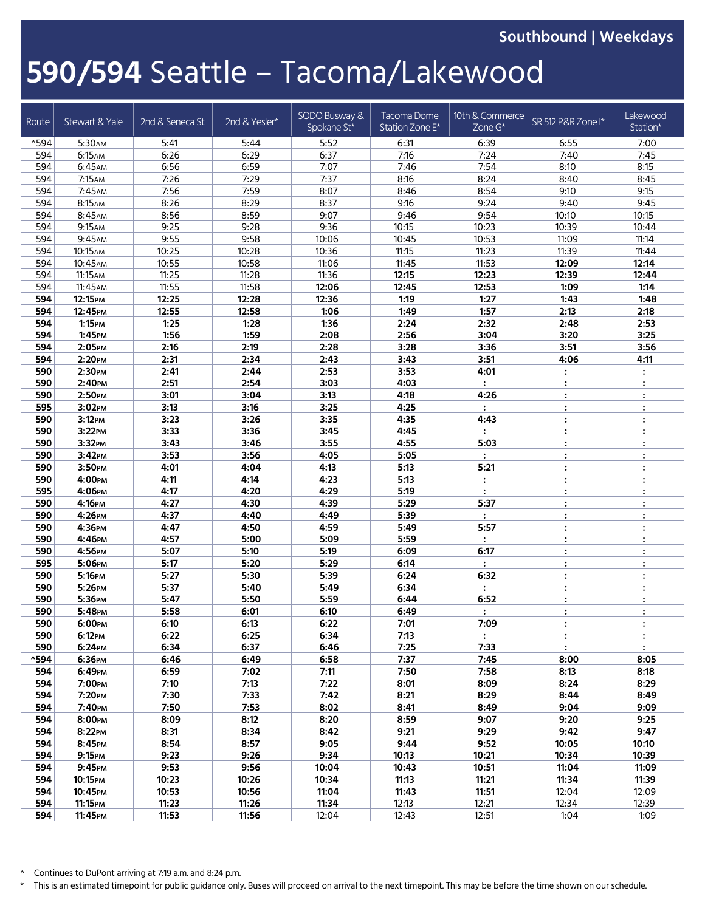**Southbound | Weekdays**

## **590/594** Seattle – Tacoma/Lakewood

| Route            | Stewart & Yale                | 2nd & Seneca St | 2nd & Yesler* | SODO Busway &<br>Spokane St* | Tacoma Dome<br>Station Zone E* | 10th & Commerce<br>Zone G* | SR 512 P&R Zone I*   | Lakewood<br>Station* |
|------------------|-------------------------------|-----------------|---------------|------------------------------|--------------------------------|----------------------------|----------------------|----------------------|
| $^{\text{4594}}$ | 5:30AM                        | 5:41            | 5:44          | 5:52                         | 6:31                           | 6:39                       | 6:55                 | 7:00                 |
| 594              | 6:15AM                        | 6:26            | 6:29          | 6:37                         | 7:16                           | 7:24                       | 7:40                 | 7:45                 |
| 594              | 6:45AM                        | 6:56            | 6:59          | 7:07                         | 7:46                           | 7:54                       | 8:10                 | 8:15                 |
| 594              | 7:15AM                        | 7:26            | 7:29          | 7:37                         | 8:16                           | 8:24                       | 8:40                 | 8:45                 |
| 594              | 7:45AM                        | 7:56            | 7:59          | 8:07                         | 8:46                           | 8:54                       | 9:10                 | 9:15                 |
| 594              | 8:15AM                        | 8:26            | 8:29          | 8:37                         | 9:16                           | 9:24                       | 9:40                 | 9:45                 |
| 594              | 8:45AM                        | 8:56            | 8:59          | 9:07                         | 9:46                           | 9:54                       | 10:10                | 10:15                |
| 594              | 9:15AM                        | 9:25            | 9:28          | 9:36                         | 10:15                          | 10:23                      | 10:39                | 10:44                |
| 594              | 9:45AM                        | 9:55            | 9:58          | 10:06                        | 10:45                          | 10:53                      | 11:09                | 11:14                |
| 594              | 10:15 <sub>AM</sub>           | 10:25           | 10:28         | 10:36                        | 11:15                          | 11:23                      | 11:39                | 11:44                |
| 594              | 10:45АМ                       | 10:55           | 10:58         | 11:06                        | 11:45                          | 11:53                      | 12:09                | 12:14                |
| 594              | 11:15 AM                      | 11:25           | 11:28         | 11:36                        | 12:15                          | 12:23                      | 12:39                | 12:44                |
| 594              | 11:45AM                       | 11:55           | 11:58         | 12:06                        | 12:45                          | 12:53                      | 1:09                 | 1:14                 |
| 594              | 12:15PM                       | 12:25           | 12:28         | 12:36                        | 1:19                           | 1:27                       | 1:43                 | 1:48                 |
| 594              | 12:45РМ                       | 12:55           | 12:58         | 1:06                         | 1:49                           | 1:57                       | 2:13                 | 2:18                 |
| 594              | 1:15РМ                        | 1:25            | 1:28          | 1:36                         | 2:24                           | 2:32                       | 2:48                 | 2:53                 |
| 594              | 1:45PM                        | 1:56            | 1:59          | 2:08                         | 2:56                           | 3:04                       | 3:20                 | 3:25                 |
| 594              | 2:05PM                        | 2:16            | 2:19          | 2:28                         | 3:28                           | 3:36                       | 3:51                 | 3:56                 |
| 594              | 2:20PM                        | 2:31            | 2:34          | 2:43                         | 3:43                           | 3:51                       | 4:06                 | 4:11                 |
| 590              | 2:30PM                        | 2:41            | 2:44          | 2:53                         | 3:53                           | 4:01                       | $\ddot{\cdot}$       | $\mathbb{C}$         |
| 590              | 2:40рм                        | 2:51            | 2:54          | 3:03                         | 4:03                           | $\ddot{\cdot}$             | $\ddot{\cdot}$       | $\ddot{\cdot}$       |
| 590              | 2:50PM                        | 3:01            | 3:04          | 3:13                         | 4:18                           | 4:26                       | $\ddot{\phantom{a}}$ | $\ddot{\cdot}$       |
| 595              | 3:02PM                        | 3:13            | 3:16          | 3:25                         | 4:25                           |                            | $\ddot{\cdot}$       | $\ddot{\cdot}$       |
| 590              | 3:12PM                        | 3:23            | 3:26          | 3:35                         | 4:35                           | 4:43                       | $\ddot{\phantom{a}}$ | $\ddot{\cdot}$       |
| 590              | 3:22PM                        | 3:33            | 3:36          | 3:45                         | 4:45                           |                            | $\ddot{\cdot}$       | $\ddot{\cdot}$       |
| 590              | 3:32PM                        | 3:43            | 3:46          | 3:55                         | 4:55                           | 5:03                       | $\ddot{\phantom{a}}$ | $\ddot{\cdot}$       |
| 590              | 3:42PM                        | 3:53            | 3:56          | 4:05                         | 5:05                           |                            | $\ddot{\cdot}$       | $\ddot{\cdot}$       |
| 590              | 3:50рм                        | 4:01            | 4:04          | 4:13                         | 5:13                           | 5:21                       | $\ddot{\phantom{a}}$ | $\ddot{\cdot}$       |
| 590              | 4:00рм                        | 4:11            | 4:14          | 4:23                         | 5:13                           | :                          | $\ddot{\cdot}$       | $\ddot{\cdot}$       |
| 595              | 4:06рм                        | 4:17            | 4:20          | 4:29                         | 5:19                           | $\ddot{\cdot}$             | $\ddot{\cdot}$       | $\ddot{\cdot}$       |
| 590              | 4:16рм                        | 4:27            | 4:30          | 4:39                         | 5:29                           | 5:37                       | $\vdots$             | $\ddot{\cdot}$       |
| 590              | 4:26рм                        | 4:37            | 4:40          | 4:49                         | 5:39                           | $\ddot{\cdot}$             | $\ddot{\phantom{a}}$ | $\ddot{\cdot}$       |
| 590              | 4:36рм                        | 4:47            | 4:50          | 4:59                         | 5:49                           | 5:57                       | $\ddot{\cdot}$       | $\ddot{\cdot}$       |
| 590              | 4:46рм                        | 4:57            | 5:00          | 5:09                         | 5:59                           | $\ddot{\cdot}$             | $\ddot{\phantom{a}}$ | :                    |
| 590              | 4:56РМ                        | 5:07            | 5:10          | 5:19                         | 6:09                           | 6:17                       | $\ddot{\cdot}$       | $\colon$             |
| 595              | 5:06рм                        | 5:17            | 5:20          | 5:29                         | 6:14                           | $\ddot{\cdot}$             | $\ddot{\cdot}$       | :                    |
| 590              | 5:16рм                        | 5:27            | 5:30          | 5:39                         | 6:24                           | 6:32                       | $\ddot{\cdot}$       | :                    |
| 590              | 5:26PM                        | 5:37            | 5:40          | 5:49                         | 6:34                           | $\ddot{\phantom{a}}$       | $\ddot{\cdot}$       | :                    |
| 590              | 5:36PM                        | 5:47            | 5:50          | 5:59                         | 6:44                           | 6:52                       | $\ddot{\phantom{a}}$ | $\ddot{\cdot}$       |
| 590              | 5:48PM                        | 5:58            | 6:01          | 6:10                         | 6:49                           | $\ddot{\phantom{a}}$       | $\ddot{\cdot}$       | :                    |
| 590              | 6:00PM                        | 6:10            | 6:13          | 6:22                         | 7:01                           | 7:09                       | $\ddot{\cdot}$       | $\ddot{\cdot}$       |
| 590              | 6:12PM                        | 6:22            | 6:25          | 6:34                         | 7:13                           | $\ddot{\cdot}$             | $\ddot{\cdot}$       | $\ddot{\cdot}$       |
| 590              | 6:24PM                        | 6:34            | 6:37          | 6:46                         | 7:25                           | 7:33                       | $\ddot{\phantom{a}}$ | $\ddot{\cdot}$       |
| ^594             | 6:36рм                        | 6:46            | 6:49          | 6:58                         | 7:37                           | 7:45                       | 8:00                 | 8:05                 |
| 594              | 6:49PM                        | 6:59            | 7:02          | 7:11                         | 7:50                           | 7:58                       | 8:13                 | 8:18                 |
| 594              | 7:00рм                        | 7:10            | 7:13          | 7:22                         | 8:01                           | 8:09                       | 8:24                 | 8:29                 |
| 594              | 7:20PM                        | 7:30            | 7:33          | 7:42                         | 8:21                           | 8:29                       | 8:44<br>9:04         | 8:49                 |
| 594<br>594       | 7:40рм<br>8:00PM              | 7:50<br>8:09    | 7:53<br>8:12  | 8:02<br>8:20                 | 8:41<br>8:59                   | 8:49<br>9:07               | 9:20                 | 9:09<br>9:25         |
| 594              | 8:22PM                        | 8:31            | 8:34          | 8:42                         | 9:21                           | 9:29                       | 9:42                 | 9:47                 |
| 594              | 8:45PM                        | 8:54            | 8:57          | 9:05                         | 9:44                           | 9:52                       | 10:05                | 10:10                |
|                  |                               |                 |               |                              |                                |                            |                      |                      |
| 594<br>594       | 9:15 <sub>PM</sub>            | 9:23            | 9:26<br>9:56  | 9:34<br>10:04                | 10:13                          | 10:21<br>10:51             | 10:34<br>11:04       | 10:39<br>11:09       |
| 594              | 9:45PM<br>10:15 <sub>PM</sub> | 9:53<br>10:23   | 10:26         | 10:34                        | 10:43<br>11:13                 | 11:21                      | 11:34                | 11:39                |
| 594              | 10:45рм                       | 10:53           | 10:56         | 11:04                        | 11:43                          | 11:51                      | 12:04                | 12:09                |
| 594              | 11:15 <sub>PM</sub>           | 11:23           | 11:26         | 11:34                        | 12:13                          | 12:21                      | 12:34                | 12:39                |
| 594              | 11:45PM                       | 11:53           | 11:56         | 12:04                        | 12:43                          | 12:51                      | 1:04                 | 1:09                 |
|                  |                               |                 |               |                              |                                |                            |                      |                      |

^ Continues to DuPont arriving at 7:19 a.m. and 8:24 p.m.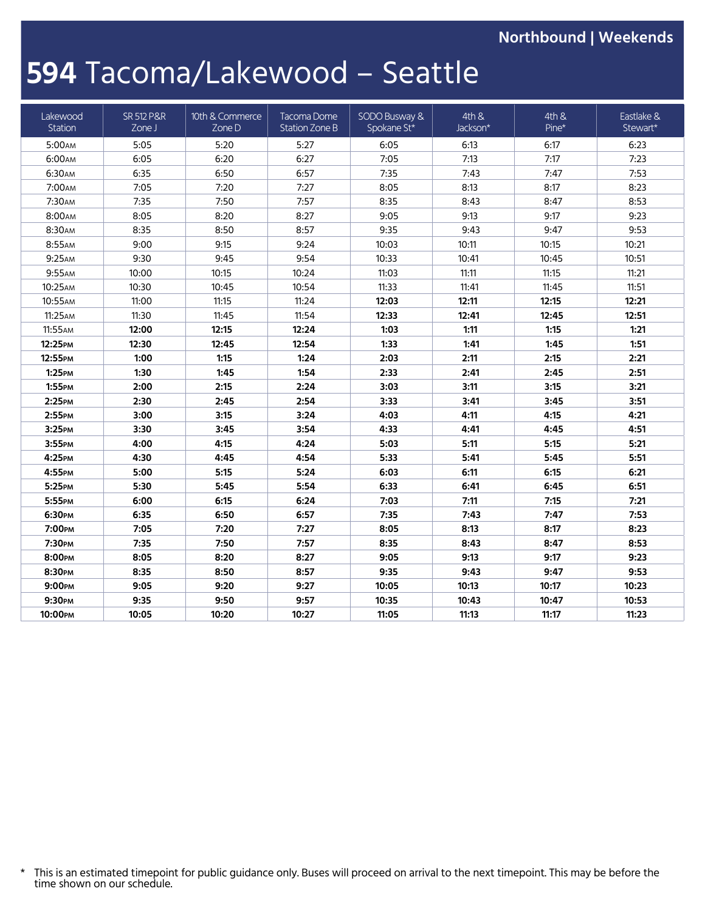**Northbound | Weekends**

## **594** Tacoma/Lakewood – Seattle

| Lakewood<br>Station | <b>SR 512 P&amp;R</b><br>Zone J | 10th & Commerce<br>Zone D | Tacoma Dome<br>Station Zone B | SODO Busway &<br>Spokane St* | 4th &<br>Jackson* | 4th &<br>Pine* | Eastlake &<br>Stewart* |
|---------------------|---------------------------------|---------------------------|-------------------------------|------------------------------|-------------------|----------------|------------------------|
| 5:00AM              | 5:05                            | 5:20                      | 5:27                          | 6:05                         | 6:13              | 6:17           | 6:23                   |
| 6:00 АМ             | 6:05                            | 6:20                      | 6:27                          | 7:05                         | 7:13              | 7:17           | 7:23                   |
| 6:30AM              | 6:35                            | 6:50                      | 6:57                          | 7:35                         | 7:43              | 7:47           | 7:53                   |
| 7:00AM              | 7:05                            | 7:20                      | 7:27                          | 8:05                         | 8:13              | 8:17           | 8:23                   |
| 7:30AM              | 7:35                            | 7:50                      | 7:57                          | 8:35                         | 8:43              | 8:47           | 8:53                   |
| 8:00AM              | 8:05                            | 8:20                      | 8:27                          | 9:05                         | 9:13              | 9:17           | 9:23                   |
| 8:30AM              | 8:35                            | 8:50                      | 8:57                          | 9:35                         | 9:43              | 9:47           | 9:53                   |
| 8:55AM              | 9:00                            | 9:15                      | 9:24                          | 10:03                        | 10:11             | 10:15          | 10:21                  |
| 9:25AM              | 9:30                            | 9:45                      | 9:54                          | 10:33                        | 10:41             | 10:45          | 10:51                  |
| 9:55AM              | 10:00                           | 10:15                     | 10:24                         | 11:03                        | 11:11             | 11:15          | 11:21                  |
| 10:25AM             | 10:30                           | 10:45                     | 10:54                         | 11:33                        | 11:41             | 11:45          | 11:51                  |
| 10:55АМ             | 11:00                           | 11:15                     | 11:24                         | 12:03                        | 12:11             | 12:15          | 12:21                  |
| 11:25AM             | 11:30                           | 11:45                     | 11:54                         | 12:33                        | 12:41             | 12:45          | 12:51                  |
| 11:55AM             | 12:00                           | 12:15                     | 12:24                         | 1:03                         | 1:11              | 1:15           | 1:21                   |
| 12:25PM             | 12:30                           | 12:45                     | 12:54                         | 1:33                         | 1:41              | 1:45           | 1:51                   |
| 12:55PM             | 1:00                            | 1:15                      | 1:24                          | 2:03                         | 2:11              | 2:15           | 2:21                   |
| $1:25$ PM           | 1:30                            | 1:45                      | 1:54                          | 2:33                         | 2:41              | 2:45           | 2:51                   |
| 1:55PM              | 2:00                            | 2:15                      | 2:24                          | 3:03                         | 3:11              | 3:15           | 3:21                   |
| 2:25PM              | 2:30                            | 2:45                      | 2:54                          | 3:33                         | 3:41              | 3:45           | 3:51                   |
| $2:55$ PM           | 3:00                            | 3:15                      | 3:24                          | 4:03                         | 4:11              | 4:15           | 4:21                   |
| 3:25PM              | 3:30                            | 3:45                      | 3:54                          | 4:33                         | 4:41              | 4:45           | 4:51                   |
| 3:55PM              | 4:00                            | 4:15                      | 4:24                          | 5:03                         | 5:11              | 5:15           | 5:21                   |
| 4:25PM              | 4:30                            | 4:45                      | 4:54                          | 5:33                         | 5:41              | 5:45           | 5:51                   |
| 4:55РМ              | 5:00                            | 5:15                      | 5:24                          | 6:03                         | 6:11              | 6:15           | 6:21                   |
| 5:25PM              | 5:30                            | 5:45                      | 5:54                          | 6:33                         | 6:41              | 6:45           | 6:51                   |
| 5:55PM              | 6:00                            | 6:15                      | 6:24                          | 7:03                         | 7:11              | 7:15           | 7:21                   |
| 6:30PM              | 6:35                            | 6:50                      | 6:57                          | 7:35                         | 7:43              | 7:47           | 7:53                   |
| 7:00PM              | 7:05                            | 7:20                      | 7:27                          | 8:05                         | 8:13              | 8:17           | 8:23                   |
| 7:30рм              | 7:35                            | 7:50                      | 7:57                          | 8:35                         | 8:43              | 8:47           | 8:53                   |
| 8:00PM              | 8:05                            | 8:20                      | 8:27                          | 9:05                         | 9:13              | 9:17           | 9:23                   |
| 8:30PM              | 8:35                            | 8:50                      | 8:57                          | 9:35                         | 9:43              | 9:47           | 9:53                   |
| 9:00PM              | 9:05                            | 9:20                      | 9:27                          | 10:05                        | 10:13             | 10:17          | 10:23                  |
| 9:30PM              | 9:35                            | 9:50                      | 9:57                          | 10:35                        | 10:43             | 10:47          | 10:53                  |
| 10:00PM             | 10:05                           | 10:20                     | 10:27                         | 11:05                        | 11:13             | 11:17          | 11:23                  |